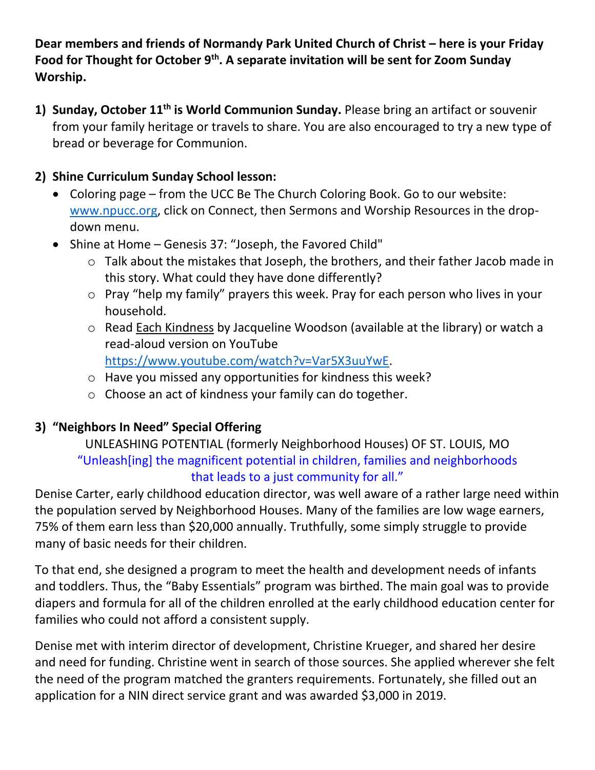**Dear members and friends of Normandy Park United Church of Christ – here is your Friday Food for Thought for October 9th. A separate invitation will be sent for Zoom Sunday Worship.**

**1) Sunday, October 11th is World Communion Sunday.** Please bring an artifact or souvenir from your family heritage or travels to share. You are also encouraged to try a new type of bread or beverage for Communion.

#### **2) Shine Curriculum Sunday School lesson:**

- Coloring page from the UCC Be The Church Coloring Book. Go to our website: [www.npucc.org,](http://www.npucc.org/) click on Connect, then Sermons and Worship Resources in the dropdown menu.
- Shine at Home Genesis 37: "Joseph, the Favored Child"
	- o Talk about the mistakes that Joseph, the brothers, and their father Jacob made in this story. What could they have done differently?
	- o Pray "help my family" prayers this week. Pray for each person who lives in your household.
	- o Read Each Kindness by Jacqueline Woodson (available at the library) or watch a read-aloud version on YouTube [https://www.youtube.com/watch?v=Var5X3uuYwE.](https://www.youtube.com/watch?v=Var5X3uuYwE)
	- o Have you missed any opportunities for kindness this week?
	- o Choose an act of kindness your family can do together.

# **3) "Neighbors In Need" Special Offering**

#### UNLEASHING POTENTIAL (formerly Neighborhood Houses) OF ST. LOUIS, MO "Unleash[ing] the magnificent potential in children, families and neighborhoods that leads to a just community for all."

Denise Carter, early childhood education director, was well aware of a rather large need within the population served by Neighborhood Houses. Many of the families are low wage earners, 75% of them earn less than \$20,000 annually. Truthfully, some simply struggle to provide many of basic needs for their children.

To that end, she designed a program to meet the health and development needs of infants and toddlers. Thus, the "Baby Essentials" program was birthed. The main goal was to provide diapers and formula for all of the children enrolled at the early childhood education center for families who could not afford a consistent supply.

Denise met with interim director of development, Christine Krueger, and shared her desire and need for funding. Christine went in search of those sources. She applied wherever she felt the need of the program matched the granters requirements. Fortunately, she filled out an application for a NIN direct service grant and was awarded \$3,000 in 2019.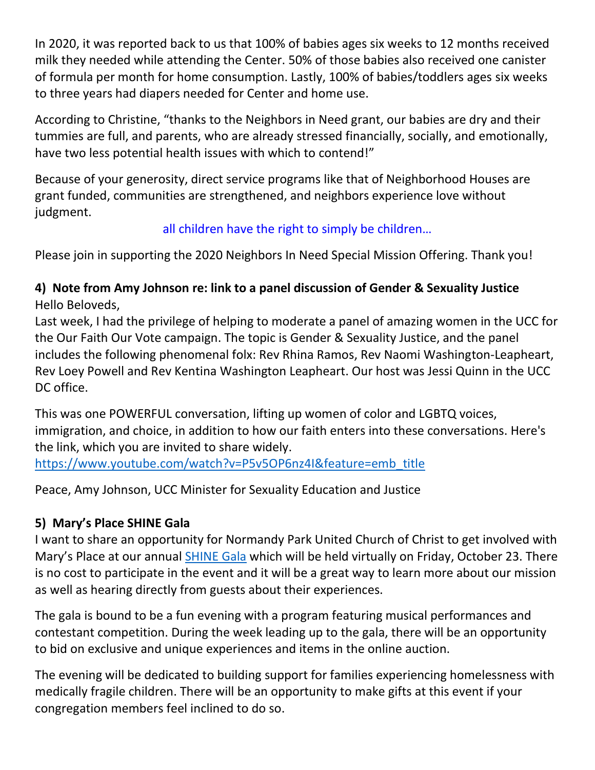In 2020, it was reported back to us that 100% of babies ages six weeks to 12 months received milk they needed while attending the Center. 50% of those babies also received one canister of formula per month for home consumption. Lastly, 100% of babies/toddlers ages six weeks to three years had diapers needed for Center and home use.

According to Christine, "thanks to the Neighbors in Need grant, our babies are dry and their tummies are full, and parents, who are already stressed financially, socially, and emotionally, have two less potential health issues with which to contend!"

Because of your generosity, direct service programs like that of Neighborhood Houses are grant funded, communities are strengthened, and neighbors experience love without judgment.

## all children have the right to simply be children…

Please join in supporting the 2020 Neighbors In Need Special Mission Offering. Thank you!

## **4) Note from Amy Johnson re: link to a panel discussion of Gender & Sexuality Justice** Hello Beloveds,

Last week, I had the privilege of helping to moderate a panel of amazing women in the UCC for the Our Faith Our Vote campaign. The topic is Gender & Sexuality Justice, and the panel includes the following phenomenal folx: Rev Rhina Ramos, Rev Naomi Washington-Leapheart, Rev Loey Powell and Rev Kentina Washington Leapheart. Our host was Jessi Quinn in the UCC DC office.

This was one POWERFUL conversation, lifting up women of color and LGBTQ voices, immigration, and choice, in addition to how our faith enters into these conversations. Here's the link, which you are invited to share widely.

[https://www.youtube.com/watch?v=P5v5OP6nz4I&feature=emb\\_title](https://www.youtube.com/watch?v=P5v5OP6nz4I&feature=emb_title)

Peace, Amy Johnson, UCC Minister for Sexuality Education and Justice

# **5) Mary's Place SHINE Gala**

I want to share an opportunity for Normandy Park United Church of Christ to get involved with Mary's Place at our annual [SHINE Gala](https://eur05.safelinks.protection.outlook.com/?url=https%3A%2F%2Fmarysplaceseattle.ejoinme.org%2FMyEvents%2FMarysPlace2020SHINEGala%2FRegistration%2Ftabid%2F1153505%2FDefault.aspx&data=02%7C01%7C%7C1399ff923e0f400e689108d86b0e8930%7C84df9e7fe9f640afb435aaaaaaaaaaaa%7C1%7C0%7C637377057454892952&sdata=hzFs9wSzAQvnKUkOz5VQcxnm1Bm5XkwbNUEfil%2ByOH4%3D&reserved=0) which will be held virtually on Friday, October 23. There is no cost to participate in the event and it will be a great way to learn more about our mission as well as hearing directly from guests about their experiences.

The gala is bound to be a fun evening with a program featuring musical performances and contestant competition. During the week leading up to the gala, there will be an opportunity to bid on exclusive and unique experiences and items in the online auction.

The evening will be dedicated to building support for families experiencing homelessness with medically fragile children. There will be an opportunity to make gifts at this event if your congregation members feel inclined to do so.